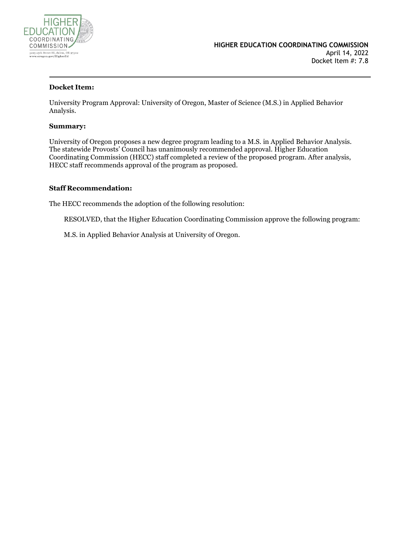

#### **Docket Item:**

University Program Approval: University of Oregon, Master of Science (M.S.) in Applied Behavior Analysis.

#### **Summary:**

University of Oregon proposes a new degree program leading to a M.S. in Applied Behavior Analysis. The statewide Provosts' Council has unanimously recommended approval. Higher Education Coordinating Commission (HECC) staff completed a review of the proposed program. After analysis, HECC staff recommends approval of the program as proposed.

#### **Staff Recommendation:**

The HECC recommends the adoption of the following resolution:

RESOLVED, that the Higher Education Coordinating Commission approve the following program:

M.S. in Applied Behavior Analysis at University of Oregon.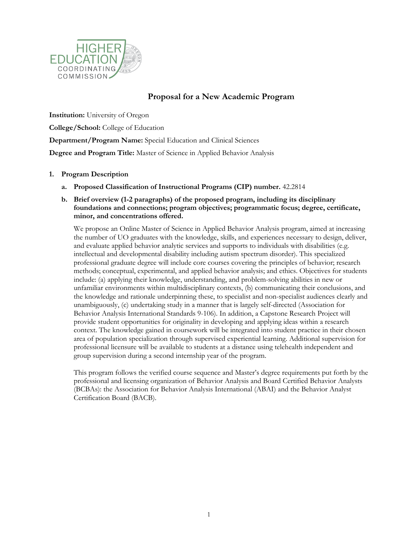

# **Proposal for a New Academic Program**

**Institution:** University of Oregon

**College/School:** College of Education

**Department/Program Name:** Special Education and Clinical Sciences

**Degree and Program Title:** Master of Science in Applied Behavior Analysis

## **1. Program Description**

**a. Proposed Classification of Instructional Programs (CIP) number.** 42.2814

## **b. Brief overview (1-2 paragraphs) of the proposed program, including its disciplinary foundations and connections; program objectives; programmatic focus; degree, certificate, minor, and concentrations offered.**

We propose an Online Master of Science in Applied Behavior Analysis program, aimed at increasing the number of UO graduates with the knowledge, skills, and experiences necessary to design, deliver, and evaluate applied behavior analytic services and supports to individuals with disabilities (e.g. intellectual and developmental disability including autism spectrum disorder). This specialized professional graduate degree will include core courses covering the principles of behavior; research methods; conceptual, experimental, and applied behavior analysis; and ethics. Objectives for students include: (a) applying their knowledge, understanding, and problem-solving abilities in new or unfamiliar environments within multidisciplinary contexts, (b) communicating their conclusions, and the knowledge and rationale underpinning these, to specialist and non-specialist audiences clearly and unambiguously, (c) undertaking study in a manner that is largely self-directed (Association for Behavior Analysis International Standards 9-106). In addition, a Capstone Research Project will provide student opportunities for originality in developing and applying ideas within a research context. The knowledge gained in coursework will be integrated into student practice in their chosen area of population specialization through supervised experiential learning. Additional supervision for professional licensure will be available to students at a distance using telehealth independent and group supervision during a second internship year of the program.

This program follows the verified course sequence and Master's degree requirements put forth by the professional and licensing organization of Behavior Analysis and Board Certified Behavior Analysts (BCBAs): the Association for Behavior Analysis International (ABAI) and the Behavior Analyst Certification Board (BACB).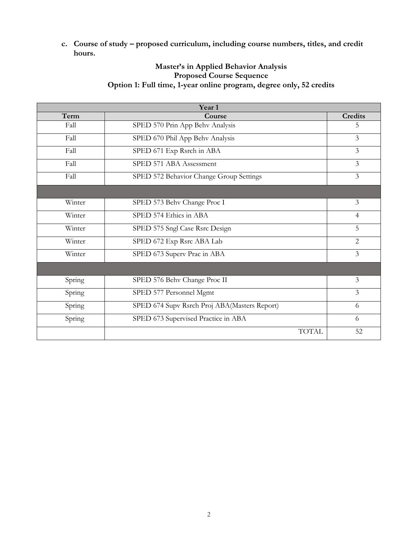**c. Course of study – proposed curriculum, including course numbers, titles, and credit hours.**

# **Master's in Applied Behavior Analysis Proposed Course Sequence Option 1: Full time, 1-year online program, degree only, 52 credits**

|        | Year 1                                       |                |
|--------|----------------------------------------------|----------------|
| Term   | Course                                       | <b>Credits</b> |
| Fall   | SPED 570 Prin App Behv Analysis              | 5.             |
| Fall   | SPED 670 Phil App Behv Analysis              | 3              |
| Fall   | SPED 671 Exp Rsrch in ABA                    | 3              |
| Fall   | SPED 571 ABA Assessment                      | 3              |
| Fall   | SPED 572 Behavior Change Group Settings      | 3              |
|        |                                              |                |
| Winter | SPED 573 Behv Change Proc I                  | 3              |
| Winter | SPED 574 Ethics in ABA                       | $\overline{4}$ |
| Winter | SPED 575 Sngl Case Rsrc Design               | 5              |
| Winter | SPED 672 Exp Rsrc ABA Lab                    | $\overline{2}$ |
| Winter | SPED 673 Superv Prac in ABA                  | $\mathfrak{Z}$ |
|        |                                              |                |
| Spring | SPED 576 Behv Change Proc II                 | 3              |
| Spring | SPED 577 Personnel Mgmt                      | $\overline{3}$ |
| Spring | SPED 674 Supv Rsrch Proj ABA(Masters Report) | 6              |
| Spring | SPED 673 Supervised Practice in ABA          | 6              |
|        | <b>TOTAL</b>                                 | 52             |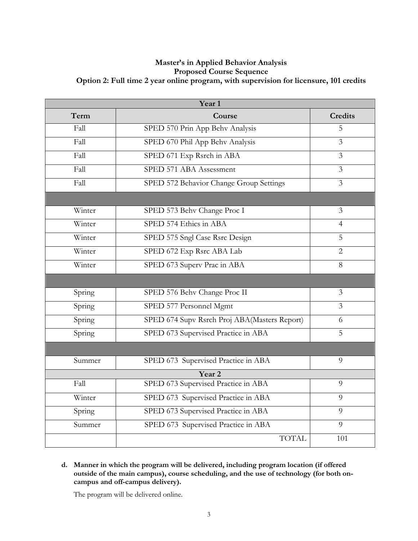## **Master's in Applied Behavior Analysis Proposed Course Sequence Option 2: Full time 2 year online program, with supervision for licensure, 101 credits**

| Year <sub>1</sub> |                                              |                |  |
|-------------------|----------------------------------------------|----------------|--|
| Term              | Course                                       | <b>Credits</b> |  |
| Fall              | SPED 570 Prin App Behv Analysis              | 5              |  |
| Fall              | SPED 670 Phil App Behv Analysis              | $\overline{3}$ |  |
| Fall              | SPED 671 Exp Rsrch in ABA                    | $\overline{3}$ |  |
| Fall              | SPED 571 ABA Assessment                      | 3              |  |
| Fall              | SPED 572 Behavior Change Group Settings      | $\overline{3}$ |  |
|                   |                                              |                |  |
| Winter            | SPED 573 Behv Change Proc I                  | 3              |  |
| Winter            | SPED 574 Ethics in ABA                       | 4              |  |
| Winter            | SPED 575 Sngl Case Rsrc Design               | 5              |  |
| Winter            | SPED 672 Exp Rsrc ABA Lab                    | $\overline{2}$ |  |
| Winter            | SPED 673 Superv Prac in ABA                  | 8              |  |
|                   |                                              |                |  |
| Spring            | SPED 576 Behv Change Proc II                 | $\mathfrak{Z}$ |  |
| Spring            | SPED 577 Personnel Mgmt                      | $\overline{3}$ |  |
| Spring            | SPED 674 Supv Rsrch Proj ABA(Masters Report) | 6              |  |
| Spring            | SPED 673 Supervised Practice in ABA          | 5              |  |
|                   |                                              |                |  |
| Summer            | SPED 673 Supervised Practice in ABA          | 9              |  |
|                   | Year <sub>2</sub>                            |                |  |
| Fall              | SPED 673 Supervised Practice in ABA          | 9              |  |
| Winter            | SPED 673 Supervised Practice in ABA<br>9     |                |  |
| Spring            | SPED 673 Supervised Practice in ABA<br>9     |                |  |
| Summer            | SPED 673 Supervised Practice in ABA          | 9              |  |
|                   | <b>TOTAL</b>                                 | 101            |  |

**d. Manner in which the program will be delivered, including program location (if offered outside of the main campus), course scheduling, and the use of technology (for both oncampus and off-campus delivery).**

The program will be delivered online.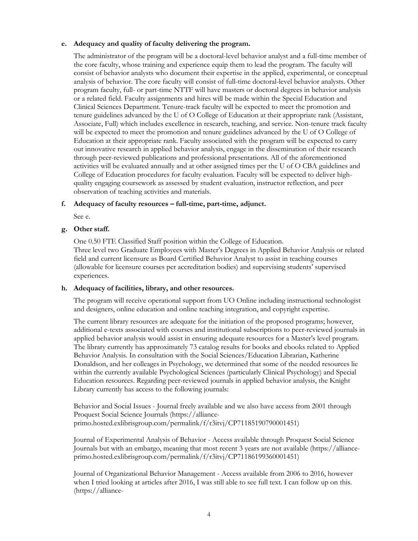## **e. Adequacy and quality of faculty delivering the program.**

The administrator of the program will be a doctoral-level behavior analyst and a full-time member of the core faculty, whose training and experience equip them to lead the program. The faculty will consist of behavior analysts who document their expertise in the applied, experimental, or conceptual analysis of behavior. The core faculty will consist of full-time doctoral-level behavior analysts. Other program faculty, full- or part-time NTTF will have masters or doctoral degrees in behavior analysis or a related field. Faculty assignments and hires will be made within the Special Education and Clinical Sciences Department. Tenure-track faculty will be expected to meet the promotion and tenure guidelines advanced by the U of O College of Education at their appropriate rank (Assistant, Associate, Full) which includes excellence in research, teaching, and service. Non-tenure track faculty will be expected to meet the promotion and tenure guidelines advanced by the U of O College of Education at their appropriate rank. Faculty associated with the program will be expected to carry out innovative research in applied behavior analysis, engage in the dissemination of their research through peer-reviewed publications and professional presentations. All of the aforementioned activities will be evaluated annually and at other assigned times per the U of O CBA guidelines and College of Education procedures for faculty evaluation. Faculty will be expected to deliver highquality engaging coursework as assessed by student evaluation, instructor reflection, and peer observation of teaching activities and materials.

#### **f. Adequacy of faculty resources – full-time, part-time, adjunct.**

See e.

## **g. Other staff.**

One 0.50 FTE Classified Staff position within the College of Education. Three level two Graduate Employees with Master's Degrees in Applied Behavior Analysis or related field and current licensure as Board Certified Behavior Analyst to assist in teaching courses (allowable for licensure courses per accreditation bodies) and supervising students' supervised experiences.

#### **h. Adequacy of facilities, library, and other resources.**

The program will receive operational support from UO Online including instructional technologist and designers, online education and online teaching integration, and copyright expertise.

The current library resources are adequate for the initiation of the proposed programs; however, additional e-texts associated with courses and institutional subscriptions to peer-reviewed journals in applied behavior analysis would assist in ensuring adequate resources for a Master's level program. The library currently has approximately 73 catalog results for books and ebooks related to Applied Behavior Analysis. In consultation with the Social Sciences/Education Librarian, Katherine Donaldson, and her colleages in Psychology, we determined that some of the needed resources lie within the currently available Psychological Sciences (particularly Clinical Psychology) and Special Education resources. Regarding peer-reviewed journals in applied behavior analysis, the Knight Library currently has access to the following journals:

Behavior and Social Issues - Journal freely available and we also have access from 2001 through Proquest Social Science Journals (https://allianceprimo.hosted.exlibrisgroup.com/permalink/f/r3itvj/CP71185190790001451)

Journal of Experimental Analysis of Behavior - Access available through Proquest Social Science Journals but with an embargo, meaning that most recent 3 years are not available (https://allianceprimo.hosted.exlibrisgroup.com/permalink/f/r3itvj/CP71186199360001451)

Journal of Organizational Behavior Management - Access available from 2006 to 2016, however when I tried looking at articles after 2016, I was still able to see full text. I can follow up on this. (https://alliance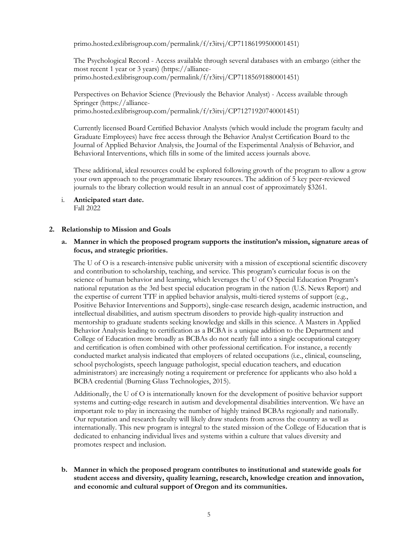primo.hosted.exlibrisgroup.com/permalink/f/r3itvj/CP71186199500001451)

The Psychological Record - Access available through several databases with an embargo (either the most recent 1 year or 3 years) (https://allianceprimo.hosted.exlibrisgroup.com/permalink/f/r3itvj/CP71185691880001451)

Perspectives on Behavior Science (Previously the Behavior Analyst) - Access available through Springer (https://allianceprimo.hosted.exlibrisgroup.com/permalink/f/r3itvj/CP71271920740001451)

Currently licensed Board Certified Behavior Analysts (which would include the program faculty and Graduate Employees) have free access through the Behavior Analyst Certification Board to the Journal of Applied Behavior Analysis, the Journal of the Experimental Analysis of Behavior, and Behavioral Interventions, which fills in some of the limited access journals above.

These additional, ideal resources could be explored following growth of the program to allow a grow your own approach to the programmatic library resources. The addition of 5 key peer-reviewed journals to the library collection would result in an annual cost of approximately \$3261.

i. **Anticipated start date.** Fall 2022

## **2. Relationship to Mission and Goals**

## **a. Manner in which the proposed program supports the institution's mission, signature areas of focus, and strategic priorities.**

The U of O is a research-intensive public university with a mission of exceptional scientific discovery and contribution to scholarship, teaching, and service. This program's curricular focus is on the science of human behavior and learning, which leverages the U of O Special Education Program's national reputation as the 3rd best special education program in the nation (U.S. News Report) and the expertise of current TTF in applied behavior analysis, multi-tiered systems of support (e.g., Positive Behavior Interventions and Supports), single-case research design, academic instruction, and intellectual disabilities, and autism spectrum disorders to provide high-quality instruction and mentorship to graduate students seeking knowledge and skills in this science. A Masters in Applied Behavior Analysis leading to certification as a BCBA is a unique addition to the Department and College of Education more broadly as BCBAs do not neatly fall into a single occupational category and certification is often combined with other professional certification. For instance, a recently conducted market analysis indicated that employers of related occupations (i.e., clinical, counseling, school psychologists, speech language pathologist, special education teachers, and education administrators) are increasingly noting a requirement or preference for applicants who also hold a BCBA credential (Burning Glass Technologies, 2015).

Additionally, the U of O is internationally known for the development of positive behavior support systems and cutting-edge research in autism and developmental disabilities intervention. We have an important role to play in increasing the number of highly trained BCBAs regionally and nationally. Our reputation and research faculty will likely draw students from across the country as well as internationally. This new program is integral to the stated mission of the College of Education that is dedicated to enhancing individual lives and systems within a culture that values diversity and promotes respect and inclusion.

**b. Manner in which the proposed program contributes to institutional and statewide goals for student access and diversity, quality learning, research, knowledge creation and innovation, and economic and cultural support of Oregon and its communities.**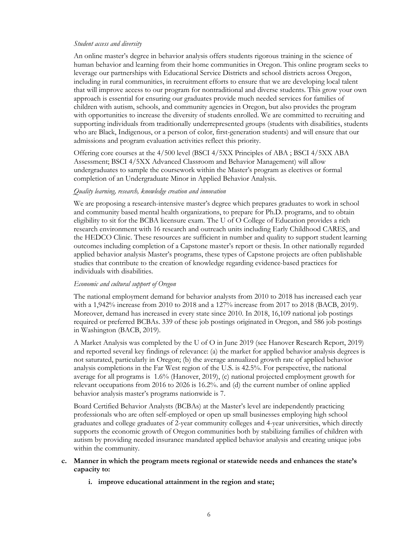#### *Student access and diversity*

An online master's degree in behavior analysis offers students rigorous training in the science of human behavior and learning from their home communities in Oregon. This online program seeks to leverage our partnerships with Educational Service Districts and school districts across Oregon, including in rural communities, in recruitment efforts to ensure that we are developing local talent that will improve access to our program for nontraditional and diverse students. This grow your own approach is essential for ensuring our graduates provide much needed services for families of children with autism, schools, and community agencies in Oregon, but also provides the program with opportunities to increase the diversity of students enrolled. We are committed to recruiting and supporting individuals from traditionally underrepresented groups (students with disabilities, students who are Black, Indigenous, or a person of color, first-generation students) and will ensure that our admissions and program evaluation activities reflect this priority.

Offering core courses at the 4/500 level (BSCI 4/5XX Principles of ABA ; BSCI 4/5XX ABA Assessment; BSCI 4/5XX Advanced Classroom and Behavior Management) will allow undergraduates to sample the coursework within the Master's program as electives or formal completion of an Undergraduate Minor in Applied Behavior Analysis.

#### *Quality learning, research, knowledge creation and innovation*

We are proposing a research-intensive master's degree which prepares graduates to work in school and community based mental health organizations, to prepare for Ph.D. programs, and to obtain eligibility to sit for the BCBA licensure exam. The U of O College of Education provides a rich research environment with 16 research and outreach units including Early Childhood CARES, and the HEDCO Clinic. These resources are sufficient in number and quality to support student learning outcomes including completion of a Capstone master's report or thesis. In other nationally regarded applied behavior analysis Master's programs, these types of Capstone projects are often publishable studies that contribute to the creation of knowledge regarding evidence-based practices for individuals with disabilities.

#### *Economic and cultural support of Oregon*

The national employment demand for behavior analysts from 2010 to 2018 has increased each year with a 1,942% increase from 2010 to 2018 and a 127% increase from 2017 to 2018 (BACB, 2019). Moreover, demand has increased in every state since 2010. In 2018, 16,109 national job postings required or preferred BCBAs. 339 of these job postings originated in Oregon, and 586 job postings in Washington (BACB, 2019).

A Market Analysis was completed by the U of O in June 2019 (see Hanover Research Report, 2019) and reported several key findings of relevance: (a) the market for applied behavior analysis degrees is not saturated, particularly in Oregon; (b) the average annualized growth rate of applied behavior analysis completions in the Far West region of the U.S. is 42.5%. For perspective, the national average for all programs is 1.6% (Hanover, 2019), (c) national projected employment growth for relevant occupations from 2016 to 2026 is 16.2%. and (d) the current number of online applied behavior analysis master's programs nationwide is 7.

Board Certified Behavior Analysts (BCBAs) at the Master's level are independently practicing professionals who are often self-employed or open up small businesses employing high school graduates and college graduates of 2-year community colleges and 4-year universities, which directly supports the economic growth of Oregon communities both by stabilizing families of children with autism by providing needed insurance mandated applied behavior analysis and creating unique jobs within the community.

## **c. Manner in which the program meets regional or statewide needs and enhances the state's capacity to:**

**i. improve educational attainment in the region and state;**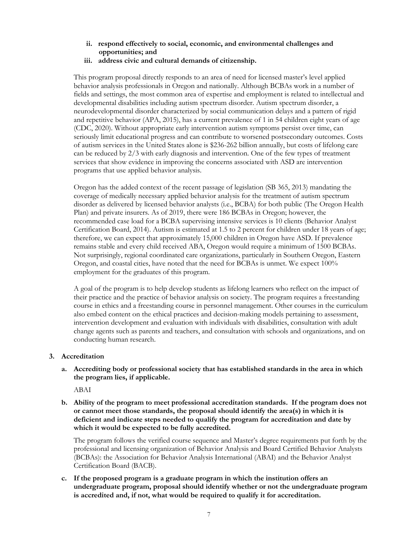- **ii. respond effectively to social, economic, and environmental challenges and opportunities; and**
- **iii. address civic and cultural demands of citizenship.**

This program proposal directly responds to an area of need for licensed master's level applied behavior analysis professionals in Oregon and nationally. Although BCBAs work in a number of fields and settings, the most common area of expertise and employment is related to intellectual and developmental disabilities including autism spectrum disorder. Autism spectrum disorder, a neurodevelopmental disorder characterized by social communication delays and a pattern of rigid and repetitive behavior (APA, 2015), has a current prevalence of 1 in 54 children eight years of age (CDC, 2020). Without appropriate early intervention autism symptoms persist over time, can seriously limit educational progress and can contribute to worsened postsecondary outcomes. Costs of autism services in the United States alone is \$236-262 billion annually, but costs of lifelong care can be reduced by 2/3 with early diagnosis and intervention. One of the few types of treatment services that show evidence in improving the concerns associated with ASD are intervention programs that use applied behavior analysis.

Oregon has the added context of the recent passage of legislation (SB 365, 2013) mandating the coverage of medically necessary applied behavior analysis for the treatment of autism spectrum disorder as delivered by licensed behavior analysts (i.e., BCBA) for both public (The Oregon Health Plan) and private insurers. As of 2019, there were 186 BCBAs in Oregon; however, the recommended case load for a BCBA supervising intensive services is 10 clients (Behavior Analyst Certification Board, 2014). Autism is estimated at 1.5 to 2 percent for children under 18 years of age; therefore, we can expect that approximately 15,000 children in Oregon have ASD. If prevalence remains stable and every child received ABA, Oregon would require a minimum of 1500 BCBAs. Not surprisingly, regional coordinated care organizations, particularly in Southern Oregon, Eastern Oregon, and coastal cities, have noted that the need for BCBAs is unmet. We expect 100% employment for the graduates of this program.

A goal of the program is to help develop students as lifelong learners who reflect on the impact of their practice and the practice of behavior analysis on society. The program requires a freestanding course in ethics and a freestanding course in personnel management. Other courses in the curriculum also embed content on the ethical practices and decision-making models pertaining to assessment, intervention development and evaluation with individuals with disabilities, consultation with adult change agents such as parents and teachers, and consultation with schools and organizations, and on conducting human research.

## **3. Accreditation**

**a. Accrediting body or professional society that has established standards in the area in which the program lies, if applicable.**

ABAI

**b. Ability of the program to meet professional accreditation standards. If the program does not or cannot meet those standards, the proposal should identify the area(s) in which it is deficient and indicate steps needed to qualify the program for accreditation and date by which it would be expected to be fully accredited.**

The program follows the verified course sequence and Master's degree requirements put forth by the professional and licensing organization of Behavior Analysis and Board Certified Behavior Analysts (BCBAs): the Association for Behavior Analysis International (ABAI) and the Behavior Analyst Certification Board (BACB).

**c. If the proposed program is a graduate program in which the institution offers an undergraduate program, proposal should identify whether or not the undergraduate program is accredited and, if not, what would be required to qualify it for accreditation.**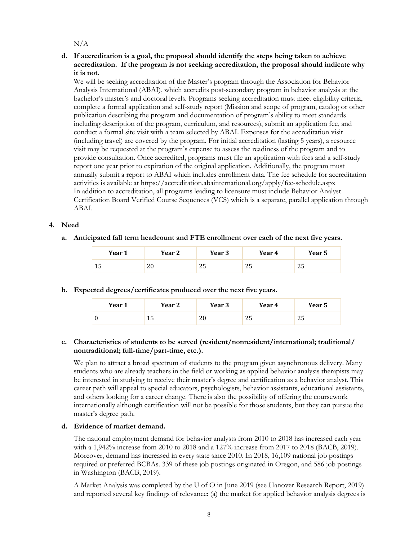$N/A$ 

## **d. If accreditation is a goal, the proposal should identify the steps being taken to achieve accreditation. If the program is not seeking accreditation, the proposal should indicate why it is not.**

We will be seeking accreditation of the Master's program through the Association for Behavior Analysis International (ABAI), which accredits post-secondary program in behavior analysis at the bachelor's master's and doctoral levels. Programs seeking accreditation must meet eligibility criteria, complete a formal application and self-study report (Mission and scope of program, catalog or other publication describing the program and documentation of program's ability to meet standards including description of the program, curriculum, and resources), submit an application fee, and conduct a formal site visit with a team selected by ABAI. Expenses for the accreditation visit (including travel) are covered by the program. For initial accreditation (lasting 5 years), a resource visit may be requested at the program's expense to assess the readiness of the program and to provide consultation. Once accredited, programs must file an application with fees and a self-study report one year prior to expiration of the original application. Additionally, the program must annually submit a report to ABAI which includes enrollment data. The fee schedule for accreditation activities is available at https://accreditation.abainternational.org/apply/fee-schedule.aspx In addition to accreditation, all programs leading to licensure must include Behavior Analyst Certification Board Verified Course Sequences (VCS) which is a separate, parallel application through ABAI.

## **4. Need**

**a. Anticipated fall term headcount and FTE enrollment over each of the next five years.**

| Year 1 | Year 2    | Year 3 | Year 4 | Year 5 |
|--------|-----------|--------|--------|--------|
| ᅶ      | n n<br>∠∪ | ں ے    | ں ے    | ں ر    |

## **b. Expected degrees/certificates produced over the next five years.**

| Year 1 | Year 2 | Year 3    | Year 4   | Year 5 |
|--------|--------|-----------|----------|--------|
| ν      | ⊥∪     | n c<br>∠∪ | ≘<br>ں ے | ں ے    |

## **c. Characteristics of students to be served (resident/nonresident/international; traditional/ nontraditional; full-time/part-time, etc.).**

We plan to attract a broad spectrum of students to the program given asynchronous delivery. Many students who are already teachers in the field or working as applied behavior analysis therapists may be interested in studying to receive their master's degree and certification as a behavior analyst. This career path will appeal to special educators, psychologists, behavior assistants, educational assistants, and others looking for a career change. There is also the possibility of offering the coursework internationally although certification will not be possible for those students, but they can pursue the master's degree path.

#### **d. Evidence of market demand.**

The national employment demand for behavior analysts from 2010 to 2018 has increased each year with a 1,942% increase from 2010 to 2018 and a 127% increase from 2017 to 2018 (BACB, 2019). Moreover, demand has increased in every state since 2010. In 2018, 16,109 national job postings required or preferred BCBAs. 339 of these job postings originated in Oregon, and 586 job postings in Washington (BACB, 2019).

A Market Analysis was completed by the U of O in June 2019 (see Hanover Research Report, 2019) and reported several key findings of relevance: (a) the market for applied behavior analysis degrees is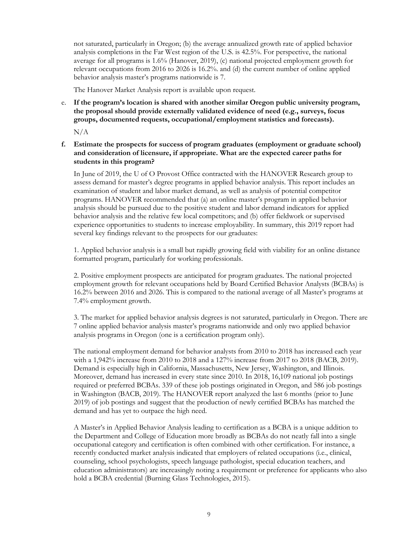not saturated, particularly in Oregon; (b) the average annualized growth rate of applied behavior analysis completions in the Far West region of the U.S. is 42.5%. For perspective, the national average for all programs is 1.6% (Hanover, 2019), (c) national projected employment growth for relevant occupations from 2016 to 2026 is 16.2%. and (d) the current number of online applied behavior analysis master's programs nationwide is 7.

The Hanover Market Analysis report is available upon request.

e. **If the program's location is shared with another similar Oregon public university program, the proposal should provide externally validated evidence of need (e.g., surveys, focus groups, documented requests, occupational/employment statistics and forecasts).**

N/A

**f. Estimate the prospects for success of program graduates (employment or graduate school) and consideration of licensure, if appropriate. What are the expected career paths for students in this program?**

In June of 2019, the U of O Provost Office contracted with the HANOVER Research group to assess demand for master's degree programs in applied behavior analysis. This report includes an examination of student and labor market demand, as well as analysis of potential competitor programs. HANOVER recommended that (a) an online master's program in applied behavior analysis should be pursued due to the positive student and labor demand indicators for applied behavior analysis and the relative few local competitors; and (b) offer fieldwork or supervised experience opportunities to students to increase employability. In summary, this 2019 report had several key findings relevant to the prospects for our graduates:

1. Applied behavior analysis is a small but rapidly growing field with viability for an online distance formatted program, particularly for working professionals.

2. Positive employment prospects are anticipated for program graduates. The national projected employment growth for relevant occupations held by Board Certified Behavior Analysts (BCBAs) is 16.2% between 2016 and 2026. This is compared to the national average of all Master's programs at 7.4% employment growth.

3. The market for applied behavior analysis degrees is not saturated, particularly in Oregon. There are 7 online applied behavior analysis master's programs nationwide and only two applied behavior analysis programs in Oregon (one is a certification program only).

The national employment demand for behavior analysts from 2010 to 2018 has increased each year with a 1,942% increase from 2010 to 2018 and a 127% increase from 2017 to 2018 (BACB, 2019). Demand is especially high in California, Massachusetts, New Jersey, Washington, and Illinois. Moreover, demand has increased in every state since 2010. In 2018, 16,109 national job postings required or preferred BCBAs. 339 of these job postings originated in Oregon, and 586 job postings in Washington (BACB, 2019). The HANOVER report analyzed the last 6 months (prior to June 2019) of job postings and suggest that the production of newly certified BCBAs has matched the demand and has yet to outpace the high need.

A Master's in Applied Behavior Analysis leading to certification as a BCBA is a unique addition to the Department and College of Education more broadly as BCBAs do not neatly fall into a single occupational category and certification is often combined with other certification. For instance, a recently conducted market analysis indicated that employers of related occupations (i.e., clinical, counseling, school psychologists, speech language pathologist, special education teachers, and education administrators) are increasingly noting a requirement or preference for applicants who also hold a BCBA credential (Burning Glass Technologies, 2015).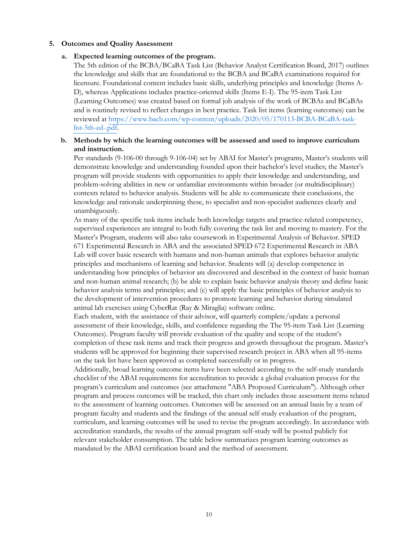#### **5. Outcomes and Quality Assessment**

#### **a. Expected learning outcomes of the program.**

The 5th edition of the BCBA/BCaBA Task List (Behavior Analyst Certification Board, 2017) outlines the knowledge and skills that are foundational to the BCBA and BCaBA examinations required for licensure. Foundational content includes basic skills, underlying principles and knowledge (Items A-D), whereas Applications includes practice-oriented skills (Items E-I). The 95-item Task List (Learning Outcomes) was created based on formal job analysis of the work of BCBAs and BCaBAs and is routinely revised to reflect changes in best practice. Task list items (learning outcomes) can be reviewed at https://www.bacb.com/wp-content/uploads/2020/05/170113-BCBA-BCaBA-tasklist-5th-ed-.pdf.

## **b. Methods by which the learning outcomes will be assessed and used to improve curriculum and instruction.**

Per standards (9-106-00 through 9-106-04) set by ABAI for Master's programs, Master's students will demonstrate knowledge and understanding founded upon their bachelor's level studies; the Master's program will provide students with opportunities to apply their knowledge and understanding, and problem-solving abilities in new or unfamiliar environments within broader (or multidisciplinary) contexts related to behavior analysis. Students will be able to communicate their conclusions, the knowledge and rationale underpinning these, to specialist and non-specialist audiences clearly and unambiguously.

As many of the specific task items include both knowledge targets and practice-related competency, supervised experiences are integral to both fully covering the task list and moving to mastery. For the Master's Program, students will also take coursework in Experimental Analysis of Behavior. SPED 671 Experimental Research in ABA and the associated SPED 672 Experimental Research in ABA Lab will cover basic research with humans and non-human animals that explores behavior analytic principles and mechanisms of learning and behavior. Students will (a) develop competence in understanding how principles of behavior are discovered and described in the context of basic human and non-human animal research; (b) be able to explain basic behavior analysis theory and define basic behavior analysis terms and principles; and (c) will apply the basic principles of behavior analysis to the development of intervention procedures to promote learning and behavior during simulated animal lab exercises using CyberRat (Ray & Miraglia) software online.

Each student, with the assistance of their advisor, will quarterly complete/update a personal assessment of their knowledge, skills, and confidence regarding the The 95-item Task List (Learning Outcomes). Program faculty will provide evaluation of the quality and scope of the student's completion of these task items and track their progress and growth throughout the program. Master's students will be approved for beginning their supervised research project in ABA when all 95-items on the task list have been approved as completed successfully or in progress.

Additionally, broad learning outcome items have been selected according to the self-study standards checklist of the ABAI requirements for accreditation to provide a global evaluation process for the program's curriculum and outcomes (see attachment "ABA Proposed Curriculum"). Although other program and process outcomes will be tracked, this chart only includes those assessment items related to the assessment of learning outcomes. Outcomes will be assessed on an annual basis by a team of program faculty and students and the findings of the annual self-study evaluation of the program, curriculum, and learning outcomes will be used to revise the program accordingly. In accordance with accreditation standards, the results of the annual program self-study will be posted publicly for relevant stakeholder consumption. The table below summarizes program learning outcomes as mandated by the ABAI certification board and the method of assessment.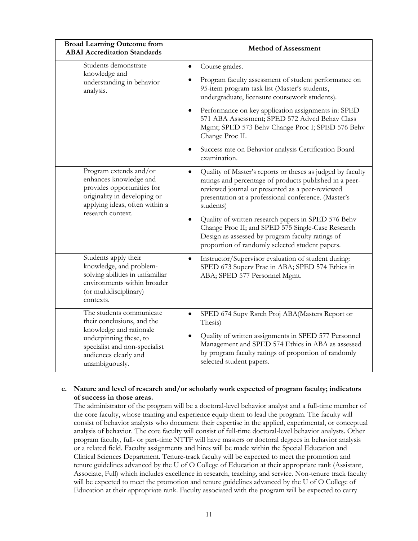| <b>Broad Learning Outcome from</b><br><b>ABAI Accreditation Standards</b>                                                                                                               | <b>Method of Assessment</b>                                                                                                                                                                                                                                                                                                                                                                                                                                       |  |
|-----------------------------------------------------------------------------------------------------------------------------------------------------------------------------------------|-------------------------------------------------------------------------------------------------------------------------------------------------------------------------------------------------------------------------------------------------------------------------------------------------------------------------------------------------------------------------------------------------------------------------------------------------------------------|--|
| Students demonstrate<br>knowledge and<br>understanding in behavior<br>analysis.                                                                                                         | Course grades.<br>Program faculty assessment of student performance on<br>95-item program task list (Master's students,<br>undergraduate, licensure coursework students).<br>Performance on key application assignments in: SPED<br>571 ABA Assessment; SPED 572 Advcd Behav Class<br>Mgmt; SPED 573 Behv Change Proc I; SPED 576 Behv<br>Change Proc II.<br>Success rate on Behavior analysis Certification Board<br>examination.                                |  |
| Program extends and/or<br>enhances knowledge and<br>provides opportunities for<br>originality in developing or<br>applying ideas, often within a<br>research context.                   | Quality of Master's reports or theses as judged by faculty<br>ratings and percentage of products published in a peer-<br>reviewed journal or presented as a peer-reviewed<br>presentation at a professional conference. (Master's<br>students)<br>Quality of written research papers in SPED 576 Behv<br>Change Proc II; and SPED 575 Single-Case Research<br>Design as assessed by program faculty ratings of<br>proportion of randomly selected student papers. |  |
| Students apply their<br>knowledge, and problem-<br>solving abilities in unfamiliar<br>environments within broader<br>(or multidisciplinary)<br>contexts.                                | Instructor/Supervisor evaluation of student during:<br>$\bullet$<br>SPED 673 Superv Prac in ABA; SPED 574 Ethics in<br>ABA; SPED 577 Personnel Mgmt.                                                                                                                                                                                                                                                                                                              |  |
| The students communicate<br>their conclusions, and the<br>knowledge and rationale<br>underpinning these, to<br>specialist and non-specialist<br>audiences clearly and<br>unambiguously. | SPED 674 Supv Rsrch Proj ABA(Masters Report or<br>Thesis)<br>Quality of written assignments in SPED 577 Personnel<br>Management and SPED 574 Ethics in ABA as assessed<br>by program faculty ratings of proportion of randomly<br>selected student papers.                                                                                                                                                                                                        |  |

## **c. Nature and level of research and/or scholarly work expected of program faculty; indicators of success in those areas.**

The administrator of the program will be a doctoral-level behavior analyst and a full-time member of the core faculty, whose training and experience equip them to lead the program. The faculty will consist of behavior analysts who document their expertise in the applied, experimental, or conceptual analysis of behavior. The core faculty will consist of full-time doctoral-level behavior analysts. Other program faculty, full- or part-time NTTF will have masters or doctoral degrees in behavior analysis or a related field. Faculty assignments and hires will be made within the Special Education and Clinical Sciences Department. Tenure-track faculty will be expected to meet the promotion and tenure guidelines advanced by the U of O College of Education at their appropriate rank (Assistant, Associate, Full) which includes excellence in research, teaching, and service. Non-tenure track faculty will be expected to meet the promotion and tenure guidelines advanced by the U of O College of Education at their appropriate rank. Faculty associated with the program will be expected to carry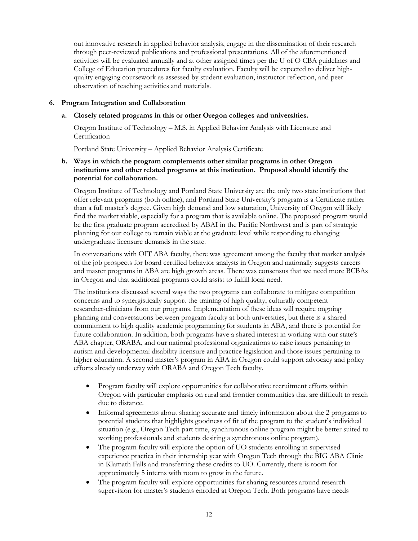out innovative research in applied behavior analysis, engage in the dissemination of their research through peer-reviewed publications and professional presentations. All of the aforementioned activities will be evaluated annually and at other assigned times per the U of O CBA guidelines and College of Education procedures for faculty evaluation. Faculty will be expected to deliver highquality engaging coursework as assessed by student evaluation, instructor reflection, and peer observation of teaching activities and materials.

## **6. Program Integration and Collaboration**

## **a. Closely related programs in this or other Oregon colleges and universities.**

Oregon Institute of Technology – M.S. in Applied Behavior Analysis with Licensure and **Certification** 

Portland State University – Applied Behavior Analysis Certificate

## **b. Ways in which the program complements other similar programs in other Oregon institutions and other related programs at this institution. Proposal should identify the potential for collaboration.**

Oregon Institute of Technology and Portland State University are the only two state institutions that offer relevant programs (both online), and Portland State University's program is a Certificate rather than a full master's degree. Given high demand and low saturation, University of Oregon will likely find the market viable, especially for a program that is available online. The proposed program would be the first graduate program accredited by ABAI in the Pacific Northwest and is part of strategic planning for our college to remain viable at the graduate level while responding to changing undergraduate licensure demands in the state.

In conversations with OIT ABA faculty, there was agreement among the faculty that market analysis of the job prospects for board certified behavior analysts in Oregon and nationally suggests careers and master programs in ABA are high growth areas. There was consensus that we need more BCBAs in Oregon and that additional programs could assist to fulfill local need.

The institutions discussed several ways the two programs can collaborate to mitigate competition concerns and to synergistically support the training of high quality, culturally competent researcher-clinicians from our programs. Implementation of these ideas will require ongoing planning and conversations between program faculty at both universities, but there is a shared commitment to high quality academic programming for students in ABA, and there is potential for future collaboration. In addition, both programs have a shared interest in working with our state's ABA chapter, ORABA, and our national professional organizations to raise issues pertaining to autism and developmental disability licensure and practice legislation and those issues pertaining to higher education. A second master's program in ABA in Oregon could support advocacy and policy efforts already underway with ORABA and Oregon Tech faculty.

- Program faculty will explore opportunities for collaborative recruitment efforts within Oregon with particular emphasis on rural and frontier communities that are difficult to reach due to distance.
- Informal agreements about sharing accurate and timely information about the 2 programs to potential students that highlights goodness of fit of the program to the student's individual situation (e.g., Oregon Tech part time, synchronous online program might be better suited to working professionals and students desiring a synchronous online program).
- The program faculty will explore the option of UO students enrolling in supervised experience practica in their internship year with Oregon Tech through the BIG ABA Clinic in Klamath Falls and transferring these credits to UO. Currently, there is room for approximately 5 interns with room to grow in the future.
- The program faculty will explore opportunities for sharing resources around research supervision for master's students enrolled at Oregon Tech. Both programs have needs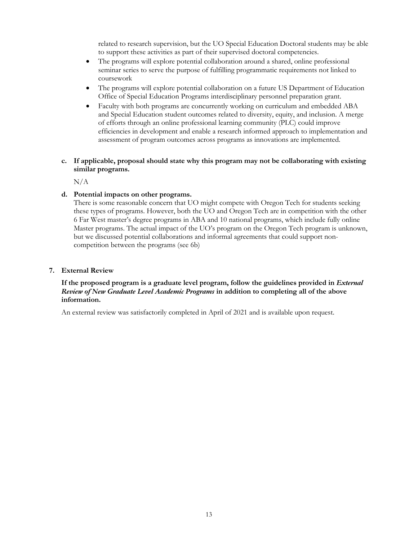related to research supervision, but the UO Special Education Doctoral students may be able to support these activities as part of their supervised doctoral competencies.

- The programs will explore potential collaboration around a shared, online professional seminar series to serve the purpose of fulfilling programmatic requirements not linked to coursework
- The programs will explore potential collaboration on a future US Department of Education Office of Special Education Programs interdisciplinary personnel preparation grant.
- Faculty with both programs are concurrently working on curriculum and embedded ABA and Special Education student outcomes related to diversity, equity, and inclusion. A merge of efforts through an online professional learning community (PLC) could improve efficiencies in development and enable a research informed approach to implementation and assessment of program outcomes across programs as innovations are implemented.
- **c. If applicable, proposal should state why this program may not be collaborating with existing similar programs.**

N/A

## **d. Potential impacts on other programs.**

There is some reasonable concern that UO might compete with Oregon Tech for students seeking these types of programs. However, both the UO and Oregon Tech are in competition with the other 6 Far West master's degree programs in ABA and 10 national programs, which include fully online Master programs. The actual impact of the UO's program on the Oregon Tech program is unknown, but we discussed potential collaborations and informal agreements that could support noncompetition between the programs (see 6b)

#### **7. External Review**

## If the proposed program is a graduate level program, follow the guidelines provided in *External Review of New Graduate Level Academic Programs* **in addition to completing all of the above information.**

An external review was satisfactorily completed in April of 2021 and is available upon request.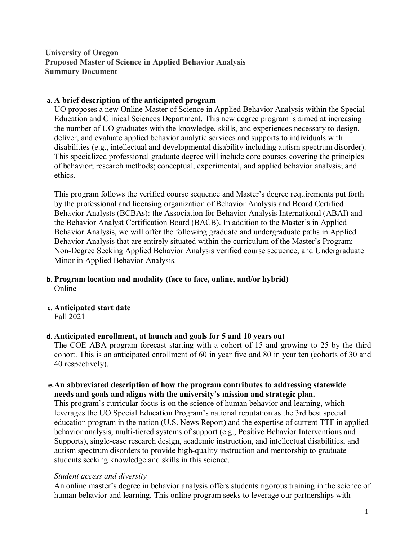# **University of Oregon Proposed Master of Science in Applied Behavior Analysis Summary Document**

## **a. A brief description of the anticipated program**

UO proposes a new Online Master of Science in Applied Behavior Analysis within the Special Education and Clinical Sciences Department. This new degree program is aimed at increasing the number of UO graduates with the knowledge, skills, and experiences necessary to design, deliver, and evaluate applied behavior analytic services and supports to individuals with disabilities (e.g., intellectual and developmental disability including autism spectrum disorder). This specialized professional graduate degree will include core courses covering the principles of behavior; research methods; conceptual, experimental, and applied behavior analysis; and ethics.

This program follows the verified course sequence and Master's degree requirements put forth by the professional and licensing organization of Behavior Analysis and Board Certified Behavior Analysts (BCBAs): the Association for Behavior Analysis International (ABAI) and the Behavior Analyst Certification Board (BACB). In addition to the Master's in Applied Behavior Analysis, we will offer the following graduate and undergraduate paths in Applied Behavior Analysis that are entirely situated within the curriculum of the Master's Program: Non-Degree Seeking Applied Behavior Analysis verified course sequence, and Undergraduate Minor in Applied Behavior Analysis.

- **b. Program location and modality (face to face, online, and/or hybrid)** Online
- **c. Anticipated start date** Fall 2021

## **d. Anticipated enrollment, at launch and goals for 5 and 10 years out**

The COE ABA program forecast starting with a cohort of 15 and growing to 25 by the third cohort. This is an anticipated enrollment of 60 in year five and 80 in year ten (cohorts of 30 and 40 respectively).

## **e.An abbreviated description of how the program contributes to addressing statewide needs and goals and aligns with the university's mission and strategic plan.**

This program's curricular focus is on the science of human behavior and learning, which leverages the UO Special Education Program's national reputation as the 3rd best special education program in the nation (U.S. News Report) and the expertise of current TTF in applied behavior analysis, multi-tiered systems of support (e.g., Positive Behavior Interventions and Supports), single-case research design, academic instruction, and intellectual disabilities, and autism spectrum disorders to provide high-quality instruction and mentorship to graduate students seeking knowledge and skills in this science.

## *Student access and diversity*

An online master's degree in behavior analysis offers students rigorous training in the science of human behavior and learning. This online program seeks to leverage our partnerships with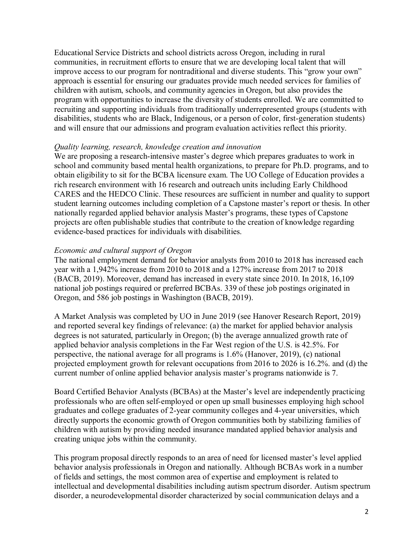Educational Service Districts and school districts across Oregon, including in rural communities, in recruitment efforts to ensure that we are developing local talent that will improve access to our program for nontraditional and diverse students. This "grow your own" approach is essential for ensuring our graduates provide much needed services for families of children with autism, schools, and community agencies in Oregon, but also provides the program with opportunities to increase the diversity of students enrolled. We are committed to recruiting and supporting individuals from traditionally underrepresented groups (students with disabilities, students who are Black, Indigenous, or a person of color, first-generation students) and will ensure that our admissions and program evaluation activities reflect this priority.

## *Quality learning, research, knowledge creation and innovation*

We are proposing a research-intensive master's degree which prepares graduates to work in school and community based mental health organizations, to prepare for Ph.D. programs, and to obtain eligibility to sit for the BCBA licensure exam. The UO College of Education provides a rich research environment with 16 research and outreach units including Early Childhood CARES and the HEDCO Clinic. These resources are sufficient in number and quality to support student learning outcomes including completion of a Capstone master's report or thesis. In other nationally regarded applied behavior analysis Master's programs, these types of Capstone projects are often publishable studies that contribute to the creation of knowledge regarding evidence-based practices for individuals with disabilities.

## *Economic and cultural support of Oregon*

The national employment demand for behavior analysts from 2010 to 2018 has increased each year with a 1,942% increase from 2010 to 2018 and a 127% increase from 2017 to 2018 (BACB, 2019). Moreover, demand has increased in every state since 2010. In 2018, 16,109 national job postings required or preferred BCBAs. 339 of these job postings originated in Oregon, and 586 job postings in Washington (BACB, 2019).

A Market Analysis was completed by UO in June 2019 (see Hanover Research Report, 2019) and reported several key findings of relevance: (a) the market for applied behavior analysis degrees is not saturated, particularly in Oregon; (b) the average annualized growth rate of applied behavior analysis completions in the Far West region of the U.S. is 42.5%. For perspective, the national average for all programs is 1.6% (Hanover, 2019), (c) national projected employment growth for relevant occupations from 2016 to 2026 is 16.2%. and (d) the current number of online applied behavior analysis master's programs nationwide is 7.

Board Certified Behavior Analysts (BCBAs) at the Master's level are independently practicing professionals who are often self-employed or open up small businesses employing high school graduates and college graduates of 2-year community colleges and 4-year universities, which directly supports the economic growth of Oregon communities both by stabilizing families of children with autism by providing needed insurance mandated applied behavior analysis and creating unique jobs within the community.

This program proposal directly responds to an area of need for licensed master's level applied behavior analysis professionals in Oregon and nationally. Although BCBAs work in a number of fields and settings, the most common area of expertise and employment is related to intellectual and developmental disabilities including autism spectrum disorder. Autism spectrum disorder, a neurodevelopmental disorder characterized by social communication delays and a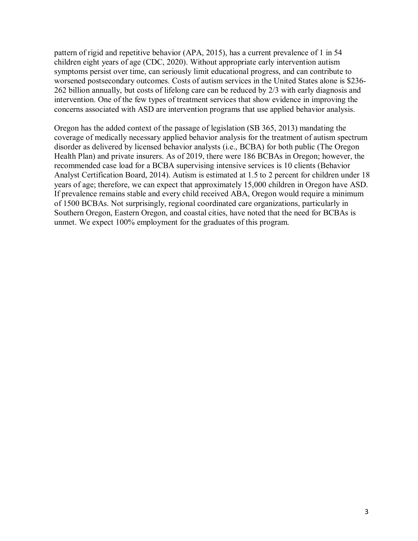pattern of rigid and repetitive behavior (APA, 2015), has a current prevalence of 1 in 54 children eight years of age (CDC, 2020). Without appropriate early intervention autism symptoms persist over time, can seriously limit educational progress, and can contribute to worsened postsecondary outcomes. Costs of autism services in the United States alone is \$236- 262 billion annually, but costs of lifelong care can be reduced by 2/3 with early diagnosis and intervention. One of the few types of treatment services that show evidence in improving the concerns associated with ASD are intervention programs that use applied behavior analysis.

Oregon has the added context of the passage of legislation (SB 365, 2013) mandating the coverage of medically necessary applied behavior analysis for the treatment of autism spectrum disorder as delivered by licensed behavior analysts (i.e., BCBA) for both public (The Oregon Health Plan) and private insurers. As of 2019, there were 186 BCBAs in Oregon; however, the recommended case load for a BCBA supervising intensive services is 10 clients (Behavior Analyst Certification Board, 2014). Autism is estimated at 1.5 to 2 percent for children under 18 years of age; therefore, we can expect that approximately 15,000 children in Oregon have ASD. If prevalence remains stable and every child received ABA, Oregon would require a minimum of 1500 BCBAs. Not surprisingly, regional coordinated care organizations, particularly in Southern Oregon, Eastern Oregon, and coastal cities, have noted that the need for BCBAs is unmet. We expect 100% employment for the graduates of this program.